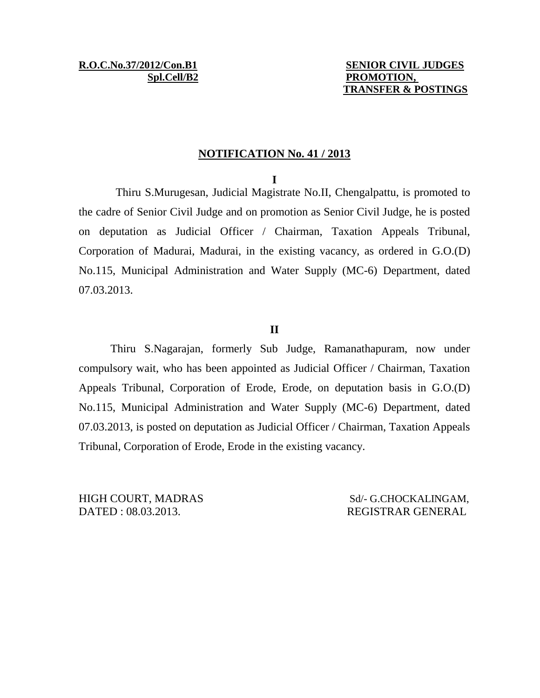### **NOTIFICATION No. 41 / 2013**

#### **I**

Thiru S.Murugesan, Judicial Magistrate No.II, Chengalpattu, is promoted to the cadre of Senior Civil Judge and on promotion as Senior Civil Judge, he is posted on deputation as Judicial Officer / Chairman, Taxation Appeals Tribunal, Corporation of Madurai, Madurai, in the existing vacancy, as ordered in G.O.(D) No.115, Municipal Administration and Water Supply (MC-6) Department, dated 07.03.2013.

### **II**

Thiru S.Nagarajan, formerly Sub Judge, Ramanathapuram, now under compulsory wait, who has been appointed as Judicial Officer / Chairman, Taxation Appeals Tribunal, Corporation of Erode, Erode, on deputation basis in G.O.(D) No.115, Municipal Administration and Water Supply (MC-6) Department, dated 07.03.2013, is posted on deputation as Judicial Officer / Chairman, Taxation Appeals Tribunal, Corporation of Erode, Erode in the existing vacancy.

DATED : 08.03.2013. REGISTRAR GENERAL

HIGH COURT, MADRAS Sd/- G.CHOCKALINGAM,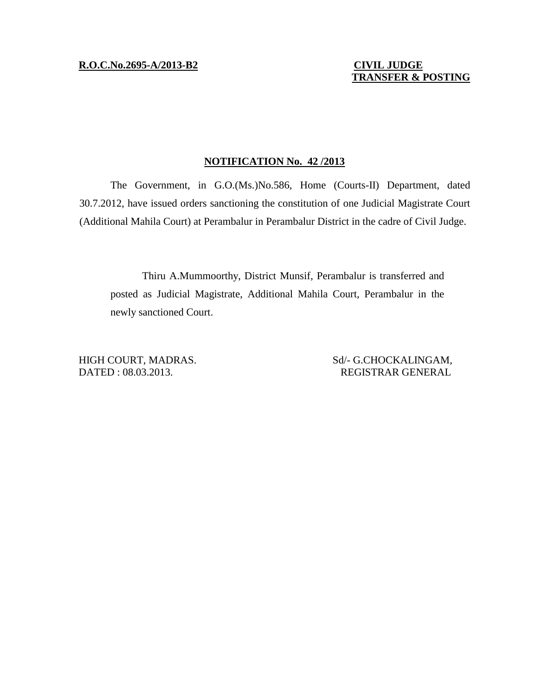# **TRANSFER & POSTING**

#### **NOTIFICATION No. 42 /2013**

The Government, in G.O.(Ms.)No.586, Home (Courts-II) Department, dated 30.7.2012, have issued orders sanctioning the constitution of one Judicial Magistrate Court (Additional Mahila Court) at Perambalur in Perambalur District in the cadre of Civil Judge.

Thiru A.Mummoorthy, District Munsif, Perambalur is transferred and posted as Judicial Magistrate, Additional Mahila Court, Perambalur in the newly sanctioned Court.

HIGH COURT, MADRAS. Sd/- G.CHOCKALINGAM, DATED : 08.03.2013. REGISTRAR GENERAL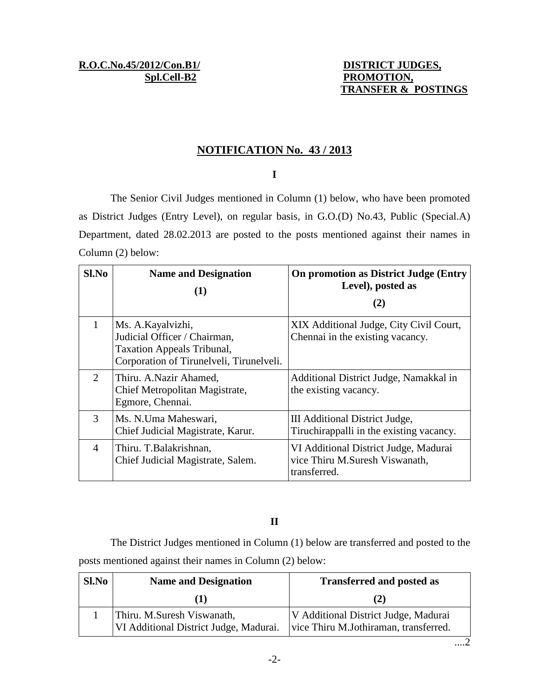## **NOTIFICATION No. 43 / 2013**

## **I**

The Senior Civil Judges mentioned in Column (1) below, who have been promoted as District Judges (Entry Level), on regular basis, in G.O.(D) No.43, Public (Special.A) Department, dated 28.02.2013 are posted to the posts mentioned against their names in Column (2) below:

| $Sl$ . No                   | <b>Name and Designation</b><br>(1)                                                                                           | On promotion as District Judge (Entry<br>Level), posted as<br>(2)                       |
|-----------------------------|------------------------------------------------------------------------------------------------------------------------------|-----------------------------------------------------------------------------------------|
| 1                           | Ms. A. Kayalvizhi,<br>Judicial Officer / Chairman,<br>Taxation Appeals Tribunal,<br>Corporation of Tirunelveli, Tirunelveli. | XIX Additional Judge, City Civil Court,<br>Chennai in the existing vacancy.             |
| $\mathcal{D}_{\mathcal{L}}$ | Thiru. A.Nazir Ahamed,<br>Chief Metropolitan Magistrate,<br>Egmore, Chennai.                                                 | Additional District Judge, Namakkal in<br>the existing vacancy.                         |
| 3                           | Ms. N. Uma Maheswari,<br>Chief Judicial Magistrate, Karur.                                                                   | III Additional District Judge,<br>Tiruchirappalli in the existing vacancy.              |
| 4                           | Thiru. T.Balakrishnan,<br>Chief Judicial Magistrate, Salem.                                                                  | VI Additional District Judge, Madurai<br>vice Thiru M.Suresh Viswanath,<br>transferred. |

## **II**

The District Judges mentioned in Column (1) below are transferred and posted to the posts mentioned against their names in Column (2) below:

| Sl.No | <b>Name and Designation</b>                                          | <b>Transferred and posted as</b>                                              |
|-------|----------------------------------------------------------------------|-------------------------------------------------------------------------------|
|       |                                                                      | (2)                                                                           |
|       | Thiru. M.Suresh Viswanath,<br>VI Additional District Judge, Madurai. | V Additional District Judge, Madurai<br>vice Thiru M.Jothiraman, transferred. |

....2